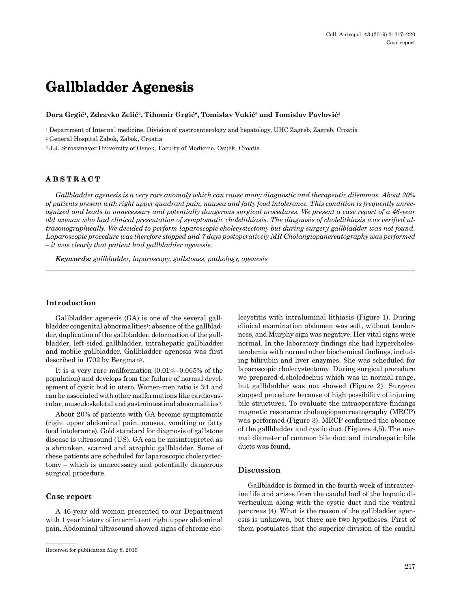# **Gallbladder Agenesis**

**Dora Grgić1, Zdravko Zelić2, Tihomir Grgić2, Tomislav Vukić2 and Tomislav Pavlović<sup>3</sup>**

1 Department of Internal medicine, Division of gastroenterology and hepatology, UHC Zagreb, Zagreb, Croatia

2 General Hospital Zabok, Zabok, Croatia

3 J.J. Strossmayer University of Osijek, Faculty of Medicine, Osijek, Croatia

# **ABSTRACT**

*Gallbladder agenesis is a very rare anomaly which can cause many diagnostic and therapeutic dilemmas. About 20% of patients present with right upper quadrant pain, nausea and fatty food intolerance. This condition is frequently unrecognized and leads to unnecessary and potentially dangerous surgical procedures. We present a case report of a 46-year old woman who had clinical presentation of symptomatic cholelithiasis. The diagnosis of cholelithiasis was verified ultrasonographically. We decided to perform laparoscopic cholecystectomy but during surgery gallbladder was not found. Laparoscopic procedure was therefore stopped and 7 days postoperatively MR Cholangiopancreatography was performed – it was clearly that patient had gallbladder agenesis.*

*Keywords: gallbladder, laparoscopy, gallstones, pathology, agenesis*

## **Introduction**

Gallbladder agenesis (GA) is one of the several gallbladder congenital abnormalities<sup>1</sup>: absence of the gallbladder, duplication of the gallbladder, deformation of the gallbladder, left-sided gallbladder, intrahepatic gallbladder and mobile gallbladder. Gallbladder agenesis was first described in 1702 by Bergman2.

It is a very rare malformation (0.01%–0.065% of the population) and develops from the failure of normal development of cystic bud in utero. Women-men ratio is 3:1 and can be associated with other malformations like cardiovascular, musculoskeletal and gastrointestinal abnormalities<sup>3</sup>.

About 20% of patients with GA become symptomatic (right upper abdominal pain, nausea, vomiting or fatty food intolerance). Gold standard for diagnosis of gallstone disease is ultrasound (US). GA can be misinterpreted as a shrunken, scarred and atrophic gallbladder. Some of these patients are scheduled for laparoscopic cholecystectomy – which is unnecessary and potentially dangerous surgical procedure.

#### **Case report**

A 46-year old woman presented to our Department with 1 year history of intermittent right upper abdominal pain. Abdominal ultrasound showed signs of chronic cholecystitis with intraluminal lithiasis (Figure 1). During clinical examination abdomen was soft, without tenderness, and Murphy sign was negative. Her vital signs were normal. In the laboratory findings she had hypercholesterolemia with normal other biochemical findings, including bilirubin and liver enzymes. She was scheduled for laparoscopic cholecystectomy. During surgical procedure we prepared d.choledochus which was in normal range, but gallbladder was not showed (Figure 2). Surgeon stopped procedure because of high possibility of injuring bile structures. To evaluate the intraoperative findings magnetic resonance cholangiopancreatography (MRCP) was performed (Figure 3). MRCP confirmed the absence of the gallbladder and cystic duct (Figures 4,5). The normal diameter of common bile duct and intrahepatic bile ducts was found.

#### **Discussion**

Gallbladder is formed in the fourth week of intrauterine life and arises from the caudal bud of the hepatic diverticulum along with the cystic duct and the ventral pancreas (4). What is the reason of the gallbladder agenesis is unknown, but there are two hypotheses. First of them postulates that the superior division of the caudal

Received for publication May 8, 2019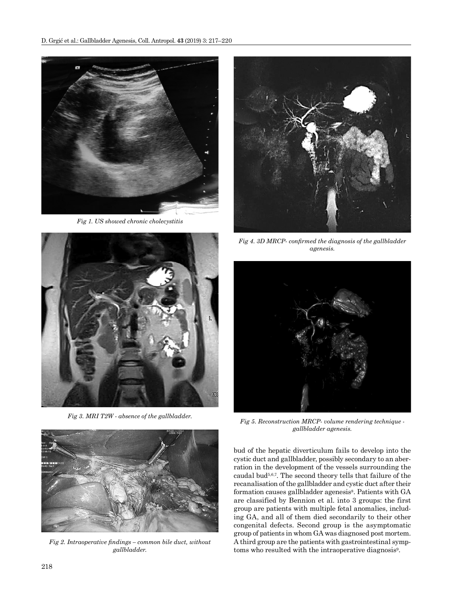

*Fig 1. US showed chronic cholecystitis*



*Fig 3. MRI T2W - absence of the gallbladder.*



*Fig 2. Intraoperative findings – common bile duct, without gallbladder.*



*Fig 4. 3D MRCP- confirmed the diagnosis of the gallbladder agenesis.*



*Fig 5. Reconstruction MRCP- volume rendering technique gallbladder agenesis.*

bud of the hepatic diverticulum fails to develop into the cystic duct and gallbladder, possibly secondary to an aberration in the development of the vessels surrounding the caudal bud5,6,7. The second theory tells that failure of the recanalisation of the gallbladder and cystic duct after their formation causes gallbladder agenesis<sup>8</sup>. Patients with GA are classified by Bennion et al. into 3 groups: the first group are patients with multiple fetal anomalies, including GA, and all of them died secondarily to their other congenital defects. Second group is the asymptomatic group of patients in whom GA was diagnosed post mortem. A third group are the patients with gastrointestinal symptoms who resulted with the intraoperative diagnosis<sup>9</sup>.